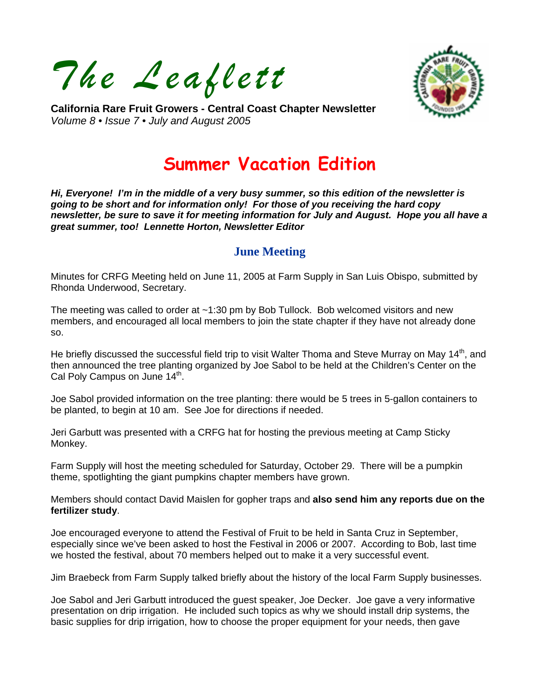*The Leaflett* 



**California Rare Fruit Growers - Central Coast Chapter Newsletter**  *Volume 8 • Issue 7 • July and August 2005* 

# **Summer Vacation Edition**

*Hi, Everyone! I'm in the middle of a very busy summer, so this edition of the newsletter is going to be short and for information only! For those of you receiving the hard copy newsletter, be sure to save it for meeting information for July and August. Hope you all have a great summer, too! Lennette Horton, Newsletter Editor* 

## **June Meeting**

Minutes for CRFG Meeting held on June 11, 2005 at Farm Supply in San Luis Obispo, submitted by Rhonda Underwood, Secretary.

The meeting was called to order at ~1:30 pm by Bob Tullock. Bob welcomed visitors and new members, and encouraged all local members to join the state chapter if they have not already done so.

He briefly discussed the successful field trip to visit Walter Thoma and Steve Murray on May 14<sup>th</sup>, and then announced the tree planting organized by Joe Sabol to be held at the Children's Center on the Cal Poly Campus on June 14<sup>th</sup>.

Joe Sabol provided information on the tree planting: there would be 5 trees in 5-gallon containers to be planted, to begin at 10 am. See Joe for directions if needed.

Jeri Garbutt was presented with a CRFG hat for hosting the previous meeting at Camp Sticky Monkey.

Farm Supply will host the meeting scheduled for Saturday, October 29. There will be a pumpkin theme, spotlighting the giant pumpkins chapter members have grown.

Members should contact David Maislen for gopher traps and **also send him any reports due on the fertilizer study**.

Joe encouraged everyone to attend the Festival of Fruit to be held in Santa Cruz in September, especially since we've been asked to host the Festival in 2006 or 2007. According to Bob, last time we hosted the festival, about 70 members helped out to make it a very successful event.

Jim Braebeck from Farm Supply talked briefly about the history of the local Farm Supply businesses.

Joe Sabol and Jeri Garbutt introduced the guest speaker, Joe Decker. Joe gave a very informative presentation on drip irrigation. He included such topics as why we should install drip systems, the basic supplies for drip irrigation, how to choose the proper equipment for your needs, then gave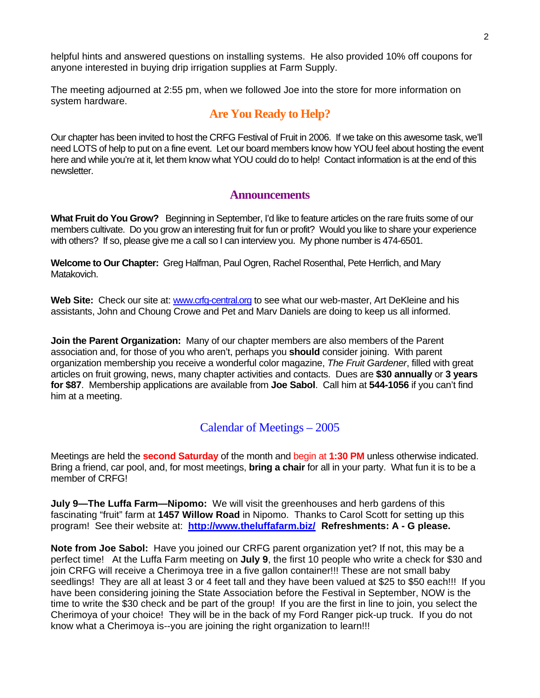helpful hints and answered questions on installing systems. He also provided 10% off coupons for anyone interested in buying drip irrigation supplies at Farm Supply.

The meeting adjourned at 2:55 pm, when we followed Joe into the store for more information on system hardware.

### **Are You Ready to Help?**

Our chapter has been invited to host the CRFG Festival of Fruit in 2006. If we take on this awesome task, we'll need LOTS of help to put on a fine event. Let our board members know how YOU feel about hosting the event here and while you're at it, let them know what YOU could do to help! Contact information is at the end of this newsletter.

#### **Announcements**

**What Fruit do You Grow?** Beginning in September, I'd like to feature articles on the rare fruits some of our members cultivate. Do you grow an interesting fruit for fun or profit? Would you like to share your experience with others? If so, please give me a call so I can interview you. My phone number is 474-6501.

**Welcome to Our Chapter:** Greg Halfman, Paul Ogren, Rachel Rosenthal, Pete Herrlich, and Mary Matakovich.

Web Site: Check our site at: [www.crfg-central.org](http://www.crfg-central.org/) to see what our web-master, Art DeKleine and his assistants, John and Choung Crowe and Pet and Marv Daniels are doing to keep us all informed.

**Join the Parent Organization:** Many of our chapter members are also members of the Parent association and, for those of you who aren't, perhaps you **should** consider joining. With parent organization membership you receive a wonderful color magazine, *The Fruit Gardener*, filled with great articles on fruit growing, news, many chapter activities and contacts. Dues are **\$30 annually** or **3 years for \$87**. Membership applications are available from **Joe Sabol**. Call him at **544-1056** if you can't find him at a meeting.

#### Calendar of Meetings – 2005

Meetings are held the **second Saturday** of the month and begin at **1:30 PM** unless otherwise indicated. Bring a friend, car pool, and, for most meetings, **bring a chair** for all in your party. What fun it is to be a member of CRFG!

**July 9—The Luffa Farm—Nipomo:** We will visit the greenhouses and herb gardens of this fascinating "fruit" farm at **1457 Willow Road** in Nipomo. Thanks to Carol Scott for setting up this program! See their website at: **<http://www.theluffafarm.biz/>Refreshments: A - G please.** 

**Note from Joe Sabol:** Have you joined our CRFG parent organization yet? If not, this may be a perfect time! At the Luffa Farm meeting on **July 9**, the first 10 people who write a check for \$30 and join CRFG will receive a Cherimoya tree in a five gallon container!!! These are not small baby seedlings! They are all at least 3 or 4 feet tall and they have been valued at \$25 to \$50 each!!! If you have been considering joining the State Association before the Festival in September, NOW is the time to write the \$30 check and be part of the group! If you are the first in line to join, you select the Cherimoya of your choice! They will be in the back of my Ford Ranger pick-up truck. If you do not know what a Cherimoya is--you are joining the right organization to learn!!!